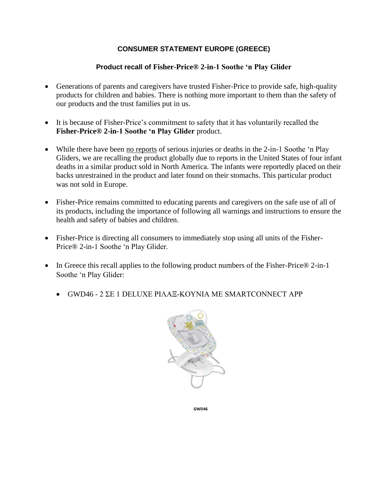## **CONSUMER STATEMENT EUROPE (GREECE)**

## **Product recall of Fisher-Price® 2-in-1 Soothe 'n Play Glider**

- Generations of parents and caregivers have trusted Fisher-Price to provide safe, high-quality products for children and babies. There is nothing more important to them than the safety of our products and the trust families put in us.
- It is because of Fisher-Price's commitment to safety that it has voluntarily recalled the **Fisher-Price® 2-in-1 Soothe 'n Play Glider** product.
- While there have been no reports of serious injuries or deaths in the 2-in-1 Soothe 'n Play Gliders, we are recalling the product globally due to reports in the United States of four infant deaths in a similar product sold in North America. The infants were reportedly placed on their backs unrestrained in the product and later found on their stomachs. This particular product was not sold in Europe.
- Fisher-Price remains committed to educating parents and caregivers on the safe use of all of its products, including the importance of following all warnings and instructions to ensure the health and safety of babies and children.
- Fisher-Price is directing all consumers to immediately stop using all units of the Fisher-Price® 2-in-1 Soothe 'n Play Glider.
- In Greece this recall applies to the following product numbers of the Fisher-Price® 2-in-1 Soothe 'n Play Glider:
	- GWD46 2 ΣΕ 1 DELUXE ΡΙΛΑΞ-ΚΟΥΝΙΑ ΜΕ SMARTCONNECT APP



**GWD46**